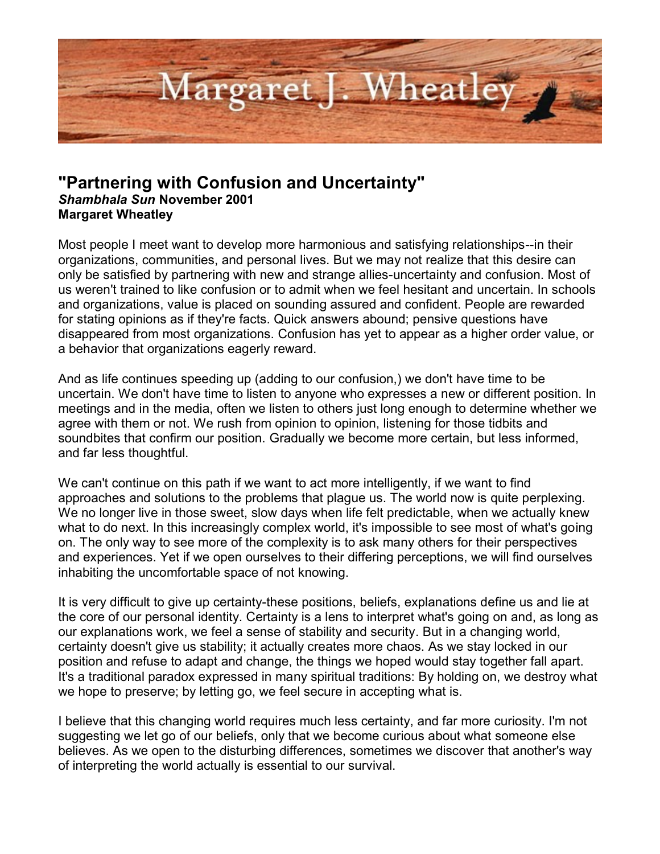

## **"Partnering with Confusion and Uncertainty"** *Shambhala Sun* **November 2001 Margaret Wheatley**

Most people I meet want to develop more harmonious and satisfying relationships--in their organizations, communities, and personal lives. But we may not realize that this desire can only be satisfied by partnering with new and strange allies-uncertainty and confusion. Most of us weren't trained to like confusion or to admit when we feel hesitant and uncertain. In schools and organizations, value is placed on sounding assured and confident. People are rewarded for stating opinions as if they're facts. Quick answers abound; pensive questions have disappeared from most organizations. Confusion has yet to appear as a higher order value, or a behavior that organizations eagerly reward.

And as life continues speeding up (adding to our confusion,) we don't have time to be uncertain. We don't have time to listen to anyone who expresses a new or different position. In meetings and in the media, often we listen to others just long enough to determine whether we agree with them or not. We rush from opinion to opinion, listening for those tidbits and soundbites that confirm our position. Gradually we become more certain, but less informed, and far less thoughtful.

We can't continue on this path if we want to act more intelligently, if we want to find approaches and solutions to the problems that plague us. The world now is quite perplexing. We no longer live in those sweet, slow days when life felt predictable, when we actually knew what to do next. In this increasingly complex world, it's impossible to see most of what's going on. The only way to see more of the complexity is to ask many others for their perspectives and experiences. Yet if we open ourselves to their differing perceptions, we will find ourselves inhabiting the uncomfortable space of not knowing.

It is very difficult to give up certainty-these positions, beliefs, explanations define us and lie at the core of our personal identity. Certainty is a lens to interpret what's going on and, as long as our explanations work, we feel a sense of stability and security. But in a changing world, certainty doesn't give us stability; it actually creates more chaos. As we stay locked in our position and refuse to adapt and change, the things we hoped would stay together fall apart. It's a traditional paradox expressed in many spiritual traditions: By holding on, we destroy what we hope to preserve; by letting go, we feel secure in accepting what is.

I believe that this changing world requires much less certainty, and far more curiosity. I'm not suggesting we let go of our beliefs, only that we become curious about what someone else believes. As we open to the disturbing differences, sometimes we discover that another's way of interpreting the world actually is essential to our survival.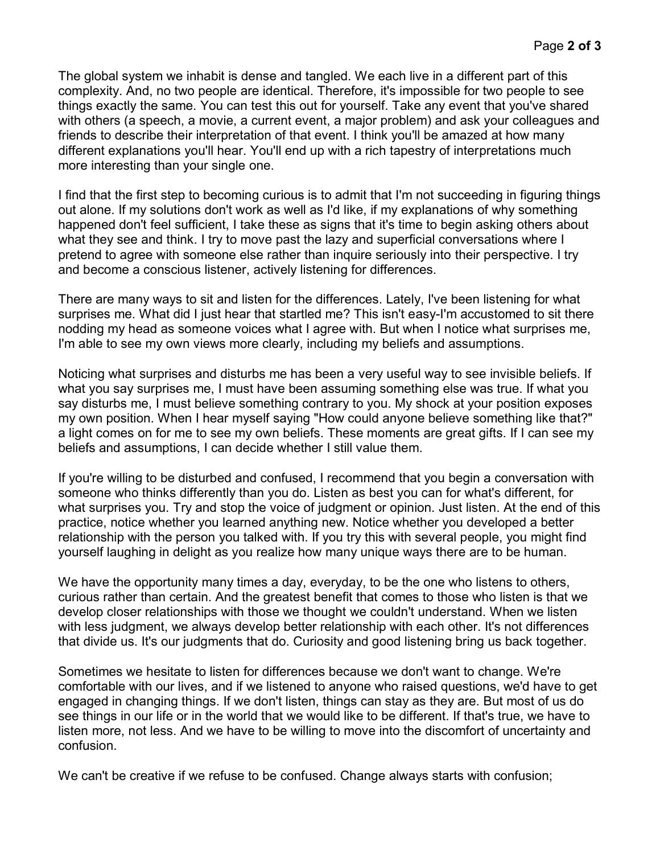The global system we inhabit is dense and tangled. We each live in a different part of this complexity. And, no two people are identical. Therefore, it's impossible for two people to see things exactly the same. You can test this out for yourself. Take any event that you've shared with others (a speech, a movie, a current event, a major problem) and ask your colleagues and friends to describe their interpretation of that event. I think you'll be amazed at how many different explanations you'll hear. You'll end up with a rich tapestry of interpretations much more interesting than your single one.

I find that the first step to becoming curious is to admit that I'm not succeeding in figuring things out alone. If my solutions don't work as well as I'd like, if my explanations of why something happened don't feel sufficient, I take these as signs that it's time to begin asking others about what they see and think. I try to move past the lazy and superficial conversations where I pretend to agree with someone else rather than inquire seriously into their perspective. I try and become a conscious listener, actively listening for differences.

There are many ways to sit and listen for the differences. Lately, I've been listening for what surprises me. What did I just hear that startled me? This isn't easy-I'm accustomed to sit there nodding my head as someone voices what I agree with. But when I notice what surprises me, I'm able to see my own views more clearly, including my beliefs and assumptions.

Noticing what surprises and disturbs me has been a very useful way to see invisible beliefs. If what you say surprises me, I must have been assuming something else was true. If what you say disturbs me, I must believe something contrary to you. My shock at your position exposes my own position. When I hear myself saying "How could anyone believe something like that?" a light comes on for me to see my own beliefs. These moments are great gifts. If I can see my beliefs and assumptions, I can decide whether I still value them.

If you're willing to be disturbed and confused, I recommend that you begin a conversation with someone who thinks differently than you do. Listen as best you can for what's different, for what surprises you. Try and stop the voice of judgment or opinion. Just listen. At the end of this practice, notice whether you learned anything new. Notice whether you developed a better relationship with the person you talked with. If you try this with several people, you might find yourself laughing in delight as you realize how many unique ways there are to be human.

We have the opportunity many times a day, everyday, to be the one who listens to others, curious rather than certain. And the greatest benefit that comes to those who listen is that we develop closer relationships with those we thought we couldn't understand. When we listen with less judgment, we always develop better relationship with each other. It's not differences that divide us. It's our judgments that do. Curiosity and good listening bring us back together.

Sometimes we hesitate to listen for differences because we don't want to change. We're comfortable with our lives, and if we listened to anyone who raised questions, we'd have to get engaged in changing things. If we don't listen, things can stay as they are. But most of us do see things in our life or in the world that we would like to be different. If that's true, we have to listen more, not less. And we have to be willing to move into the discomfort of uncertainty and confusion.

We can't be creative if we refuse to be confused. Change always starts with confusion;